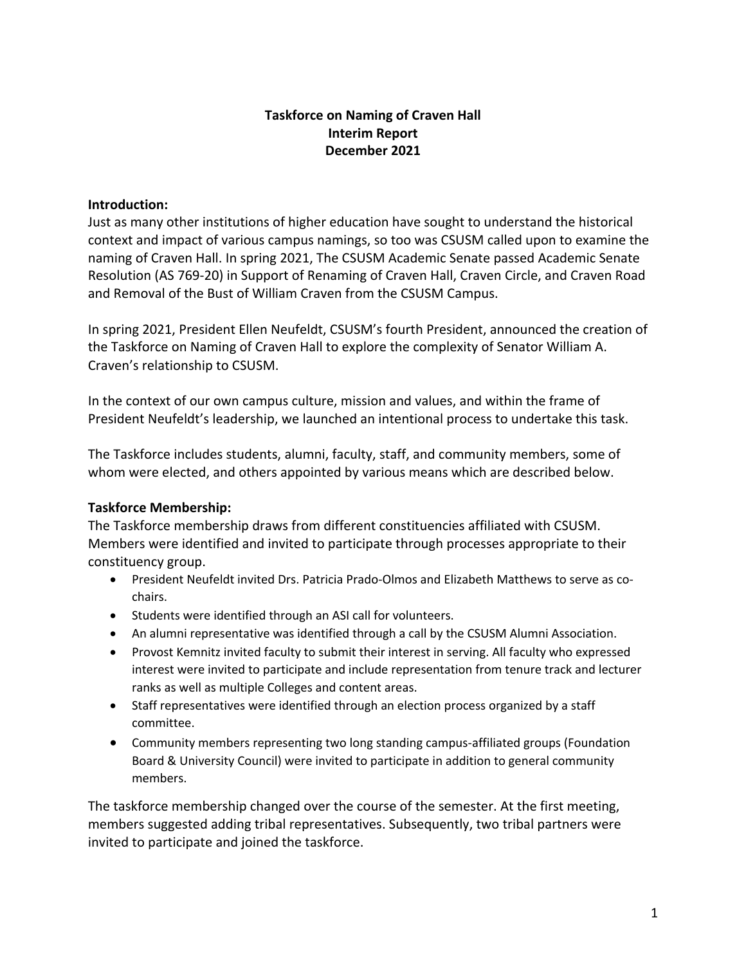# **Taskforce on Naming of Craven Hall Interim Report December 2021**

### **Introduction:**

Just as many other institutions of higher education have sought to understand the historical context and impact of various campus namings, so too was CSUSM called upon to examine the naming of Craven Hall. In spring 2021, The CSUSM Academic Senate passed Academic Senate Resolution (AS 769-20) in Support of Renaming of Craven Hall, Craven Circle, and Craven Road and Removal of the Bust of William Craven from the CSUSM Campus.

In spring 2021, President Ellen Neufeldt, CSUSM's fourth President, announced the creation of the Taskforce on Naming of Craven Hall to explore the complexity of Senator William A. Craven's relationship to CSUSM.

In the context of our own campus culture, mission and values, and within the frame of President Neufeldt's leadership, we launched an intentional process to undertake this task.

The Taskforce includes students, alumni, faculty, staff, and community members, some of whom were elected, and others appointed by various means which are described below.

## **Taskforce Membership:**

The Taskforce membership draws from different constituencies affiliated with CSUSM. Members were identified and invited to participate through processes appropriate to their constituency group.

- President Neufeldt invited Drs. Patricia Prado-Olmos and Elizabeth Matthews to serve as cochairs.
- Students were identified through an ASI call for volunteers.
- An alumni representative was identified through a call by the CSUSM Alumni Association.
- Provost Kemnitz invited faculty to submit their interest in serving. All faculty who expressed interest were invited to participate and include representation from tenure track and lecturer ranks as well as multiple Colleges and content areas.
- Staff representatives were identified through an election process organized by a staff committee.
- Community members representing two long standing campus-affiliated groups (Foundation Board & University Council) were invited to participate in addition to general community members.

The taskforce membership changed over the course of the semester. At the first meeting, members suggested adding tribal representatives. Subsequently, two tribal partners were invited to participate and joined the taskforce.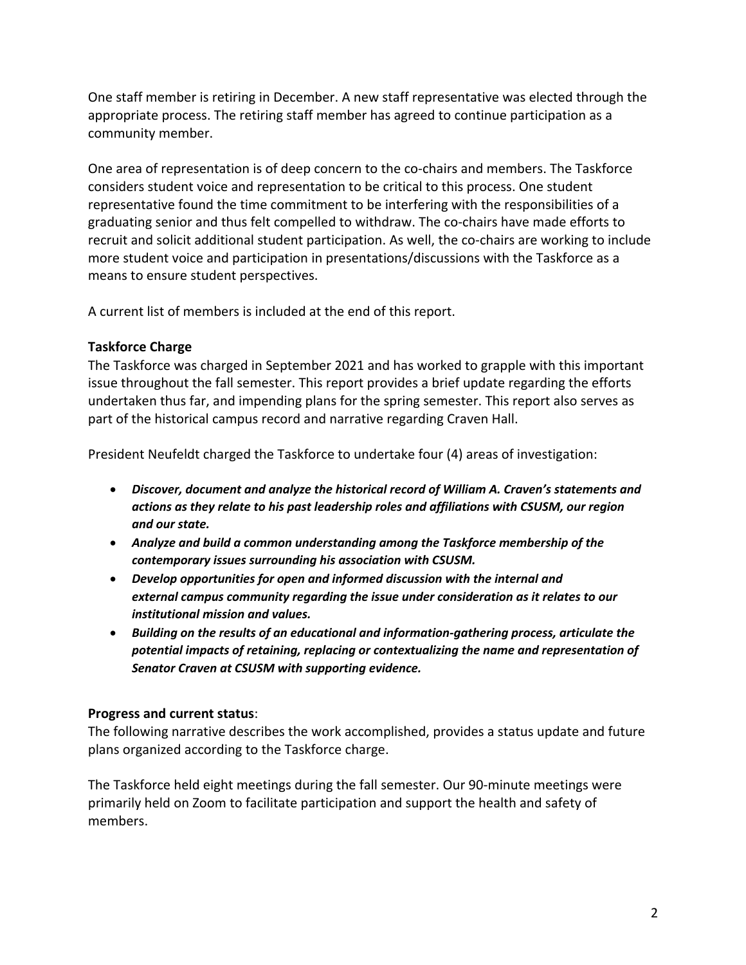One staff member is retiring in December. A new staff representative was elected through the appropriate process. The retiring staff member has agreed to continue participation as a community member.

One area of representation is of deep concern to the co-chairs and members. The Taskforce considers student voice and representation to be critical to this process. One student representative found the time commitment to be interfering with the responsibilities of a graduating senior and thus felt compelled to withdraw. The co-chairs have made efforts to recruit and solicit additional student participation. As well, the co-chairs are working to include more student voice and participation in presentations/discussions with the Taskforce as a means to ensure student perspectives.

A current list of members is included at the end of this report.

### **Taskforce Charge**

The Taskforce was charged in September 2021 and has worked to grapple with this important issue throughout the fall semester. This report provides a brief update regarding the efforts undertaken thus far, and impending plans for the spring semester. This report also serves as part of the historical campus record and narrative regarding Craven Hall.

President Neufeldt charged the Taskforce to undertake four (4) areas of investigation:

- *Discover, document and analyze the historical record of William A. Craven's statements and actions as they relate to his past leadership roles and affiliations with CSUSM, our region and our state.*
- *Analyze and build a common understanding among the Taskforce membership of the contemporary issues surrounding his association with CSUSM.*
- *Develop opportunities for open and informed discussion with the internal and external campus community regarding the issue under consideration as it relates to our institutional mission and values.*
- *Building on the results of an educational and information-gathering process, articulate the potential impacts of retaining, replacing or contextualizing the name and representation of Senator Craven at CSUSM with supporting evidence.*

## **Progress and current status**:

The following narrative describes the work accomplished, provides a status update and future plans organized according to the Taskforce charge.

The Taskforce held eight meetings during the fall semester. Our 90-minute meetings were primarily held on Zoom to facilitate participation and support the health and safety of members.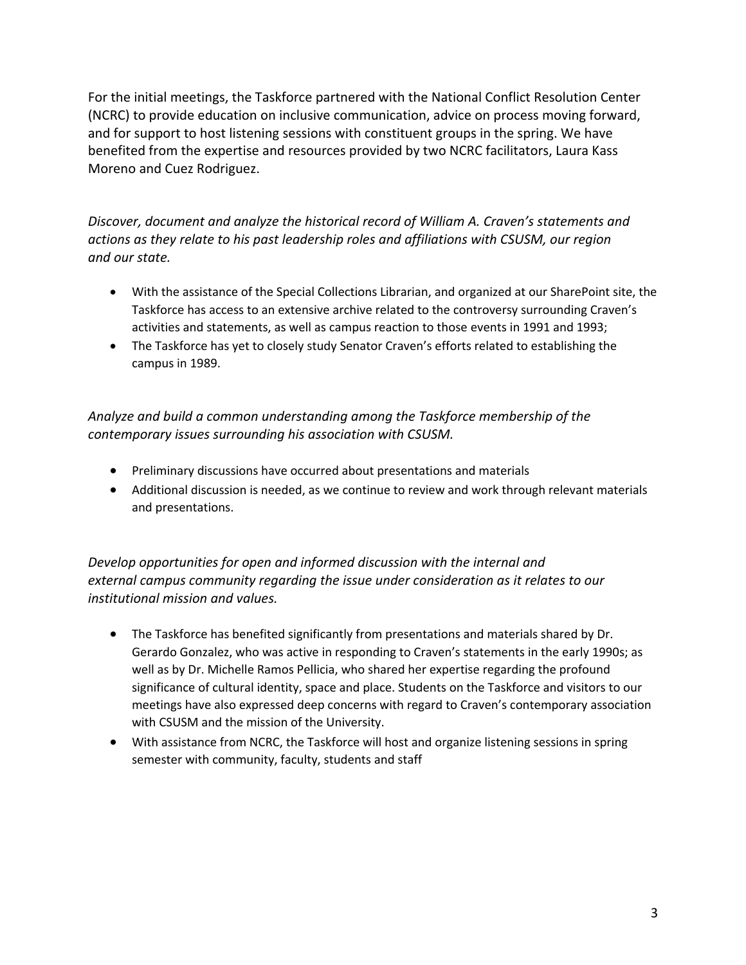For the initial meetings, the Taskforce partnered with the National Conflict Resolution Center (NCRC) to provide education on inclusive communication, advice on process moving forward, and for support to host listening sessions with constituent groups in the spring. We have benefited from the expertise and resources provided by two NCRC facilitators, Laura Kass Moreno and Cuez Rodriguez.

*Discover, document and analyze the historical record of William A. Craven's statements and actions as they relate to his past leadership roles and affiliations with CSUSM, our region and our state.*

- With the assistance of the Special Collections Librarian, and organized at our SharePoint site, the Taskforce has access to an extensive archive related to the controversy surrounding Craven's activities and statements, as well as campus reaction to those events in 1991 and 1993;
- The Taskforce has yet to closely study Senator Craven's efforts related to establishing the campus in 1989.

*Analyze and build a common understanding among the Taskforce membership of the contemporary issues surrounding his association with CSUSM.*

- Preliminary discussions have occurred about presentations and materials
- Additional discussion is needed, as we continue to review and work through relevant materials and presentations.

*Develop opportunities for open and informed discussion with the internal and external campus community regarding the issue under consideration as it relates to our institutional mission and values.*

- The Taskforce has benefited significantly from presentations and materials shared by Dr. Gerardo Gonzalez, who was active in responding to Craven's statements in the early 1990s; as well as by Dr. Michelle Ramos Pellicia, who shared her expertise regarding the profound significance of cultural identity, space and place. Students on the Taskforce and visitors to our meetings have also expressed deep concerns with regard to Craven's contemporary association with CSUSM and the mission of the University.
- With assistance from NCRC, the Taskforce will host and organize listening sessions in spring semester with community, faculty, students and staff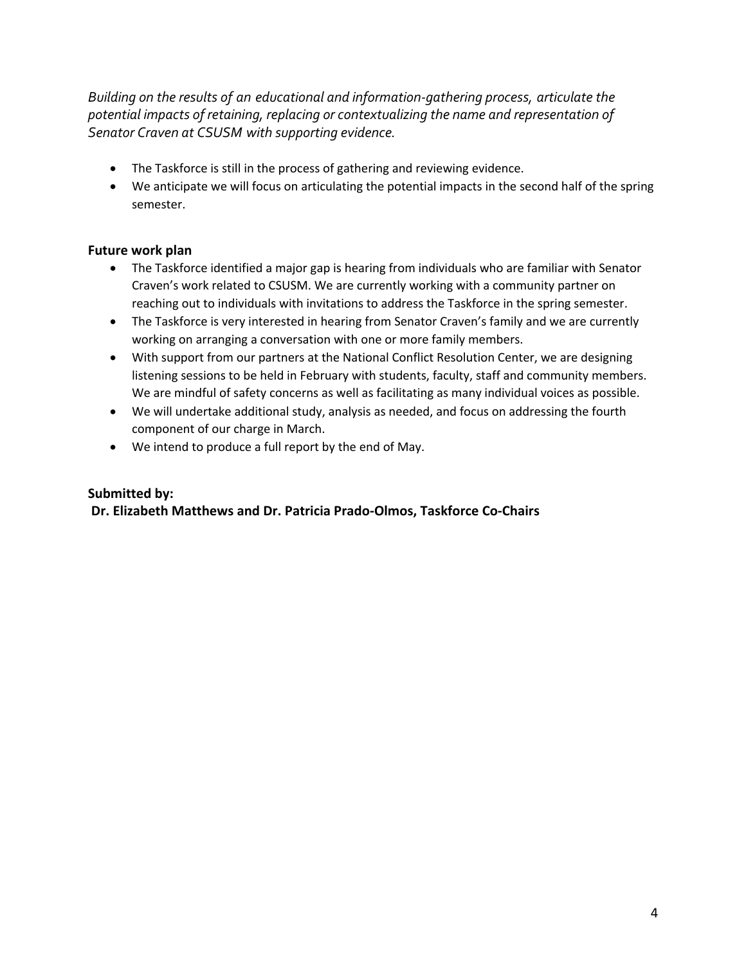*Building on the results of an educational and information-gathering process, articulate the potential impacts of retaining, replacing or contextualizing the name and representation of Senator Craven at CSUSM with supporting evidence.*

- The Taskforce is still in the process of gathering and reviewing evidence.
- We anticipate we will focus on articulating the potential impacts in the second half of the spring semester.

### **Future work plan**

- The Taskforce identified a major gap is hearing from individuals who are familiar with Senator Craven's work related to CSUSM. We are currently working with a community partner on reaching out to individuals with invitations to address the Taskforce in the spring semester.
- The Taskforce is very interested in hearing from Senator Craven's family and we are currently working on arranging a conversation with one or more family members.
- With support from our partners at the National Conflict Resolution Center, we are designing listening sessions to be held in February with students, faculty, staff and community members. We are mindful of safety concerns as well as facilitating as many individual voices as possible.
- We will undertake additional study, analysis as needed, and focus on addressing the fourth component of our charge in March.
- We intend to produce a full report by the end of May.

### **Submitted by:**

**Dr. Elizabeth Matthews and Dr. Patricia Prado-Olmos, Taskforce Co-Chairs**